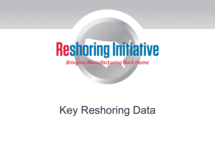# **Reshoring Initiative**

**Bringing Manufacturing Back Home** 

#### Key Reshoring Data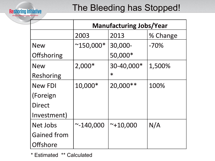

#### The Bleeding has Stopped!

|                    | <b>Manufacturing Jobs/Year</b> |               |          |  |  |  |  |
|--------------------|--------------------------------|---------------|----------|--|--|--|--|
|                    | 2003                           | 2013          | % Change |  |  |  |  |
| <b>New</b>         | $^{\sim}$ 150,000*             | 30,000-       | $-70%$   |  |  |  |  |
| Offshoring         |                                | 50,000*       |          |  |  |  |  |
| <b>New</b>         | $2,000*$                       | 30-40,000*    | 1,500%   |  |  |  |  |
| Reshoring          |                                | $\ast$        |          |  |  |  |  |
| <b>New FDI</b>     | 10,000*                        | 20,000<br>**  | 100%     |  |  |  |  |
| (Foreign           |                                |               |          |  |  |  |  |
| <b>Direct</b>      |                                |               |          |  |  |  |  |
| Investment)        |                                |               |          |  |  |  |  |
| Net Jobs           | $~7 - 140,000$                 | $~7 + 10,000$ | N/A      |  |  |  |  |
| <b>Gained from</b> |                                |               |          |  |  |  |  |
| <b>Offshore</b>    |                                |               |          |  |  |  |  |

\* Estimated \*\* Calculated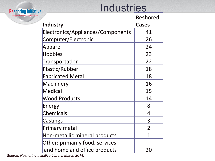### **Industries**

| <b>Reshoring Initiative</b>             | II IUUSU IES                      |                 |  |  |  |  |
|-----------------------------------------|-----------------------------------|-----------------|--|--|--|--|
| <b>Bringing Manufacturing Back Home</b> |                                   | <b>Reshored</b> |  |  |  |  |
|                                         | <b>Industry</b>                   | <b>Cases</b>    |  |  |  |  |
|                                         | Electronics/Appliances/Components | 41              |  |  |  |  |
|                                         | Computer/Electronic               | 26              |  |  |  |  |
|                                         | Apparel                           | 24              |  |  |  |  |
|                                         | <b>Hobbies</b>                    | 23              |  |  |  |  |
|                                         | Transportation                    | 22              |  |  |  |  |
|                                         | Plastic/Rubber                    | 18              |  |  |  |  |
|                                         | <b>Fabricated Metal</b>           | 18              |  |  |  |  |
|                                         | Machinery                         | 16              |  |  |  |  |
|                                         | <b>Medical</b>                    | 15              |  |  |  |  |
|                                         | <b>Wood Products</b>              | 14              |  |  |  |  |
|                                         | Energy                            | 8               |  |  |  |  |
|                                         | <b>Chemicals</b>                  | $\overline{4}$  |  |  |  |  |
|                                         | Castings                          | 3               |  |  |  |  |
|                                         | Primary metal                     | $\overline{2}$  |  |  |  |  |
|                                         | Non-metallic mineral products     | 1               |  |  |  |  |
|                                         | Other: primarily food, services,  |                 |  |  |  |  |
|                                         | and home and office products      | 20              |  |  |  |  |

Source: *Reshoring Initiative Library, March 2014.*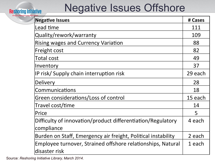# Negative Issues Offshore

| <b>Negative Issues</b>                                        | # Cases |
|---------------------------------------------------------------|---------|
| Lead time                                                     | 111     |
| Quality/rework/warranty                                       | 109     |
| <b>Rising wages and Currency Variation</b>                    | 88      |
| Freight cost                                                  | 82      |
| Total cost                                                    | 49      |
| Inventory                                                     | 37      |
| IP risk/ Supply chain interruption risk                       | 29 each |
| Delivery                                                      | 28      |
| Communications                                                | 18      |
| Green considerations/Loss of control                          | 15 each |
| Travel cost/time                                              | 14      |
| Price                                                         | 5       |
| Difficulty of innovation/product differentiation/Regulatory   | 4 each  |
| compliance                                                    |         |
| Burden on Staff, Emergency air freight, Political instability | 2 each  |
| Employee turnover, Strained offshore relationships, Natural   | 1 each  |
| ldisaster risk                                                |         |

Source: *Reshoring Initiative Library, March 2014.*

**Reshoring Initiative** 

**Bringing Manufactu**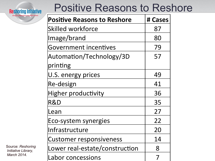**Reshoring Initiative** 

# Positive Reasons to Reshore

| <b>Positive Reasons to Reshore</b> | # Cases |
|------------------------------------|---------|
| Skilled workforce                  | 87      |
| Image/brand                        | 80      |
| <b>Government incentives</b>       | 79      |
| Automation/Technology/3D           | 57      |
| printing                           |         |
| U.S. energy prices                 | 49      |
| Re-design                          | 41      |
| Higher productivity                | 36      |
| R&D                                | 35      |
| Lean                               | 27      |
| Eco-system synergies               | 22      |
| Infrastructure                     | 20      |
| <b>Customer responsiveness</b>     | 14      |
| Lower real-estate/construction     | 8       |
| Labor concessions                  | 7       |

Source: *Reshoring Initiative Library, March 2014.*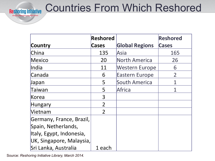

### Countries From Which Reshored

|                          | Reshored       |                       | <b>Reshored</b> |
|--------------------------|----------------|-----------------------|-----------------|
| Country                  | <b>Cases</b>   | <b>Global Regions</b> | Cases           |
| China                    | 135            | Asia                  | 165             |
| Mexico                   | 20             | North America         | 26              |
| India                    | 11             | <b>Western Europe</b> | 6               |
| Canada                   | 6              | <b>Eastern Europe</b> | $\overline{2}$  |
| Japan                    | 5              | South America         |                 |
| Taiwan                   | 5              | Africa                |                 |
| Korea                    | 3              |                       |                 |
| Hungary                  | $\overline{2}$ |                       |                 |
| Vietnam                  | $\overline{2}$ |                       |                 |
| Germany, France, Brazil, |                |                       |                 |
| Spain, Netherlands,      |                |                       |                 |
| Italy, Egypt, Indonesia, |                |                       |                 |
| UK, Singapore, Malaysia, |                |                       |                 |
| Sri Lanka, Australia     | 1 each         |                       |                 |

Source: *Reshoring Initiative Library, March 2014.*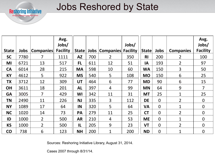

#### Jobs Reshored by State

|              |      |                  | Avg.<br>Jobs/   |               |      |                  | Jobs/           |                |                |                  | Avg.<br>Jobs/   |
|--------------|------|------------------|-----------------|---------------|------|------------------|-----------------|----------------|----------------|------------------|-----------------|
| <b>State</b> | Jobs | <b>Companies</b> | <b>Facility</b> | State         | Jobs | <b>Companies</b> | <b>Facility</b> | <b>State</b>   | Jobs           | <b>Companies</b> | <b>Facility</b> |
| <b>SC</b>    | 7780 | 7                | 1111            | <b>AZ</b>     | 700  | $\overline{2}$   | 350             | R <sub>l</sub> | 200            | 2 <sup>1</sup>   | 100             |
| MI           | 6721 | 13               | 517             | <b>FL</b>     | 611  | 12               | 51              | IA             | 193            | $\overline{2}$   | 97              |
| <b>CA</b>    | 6014 | 28               | 215             | <b>MA</b>     | 598  | 10               | 60              | <b>WA</b>      | 150            | 3                | 50              |
| <b>KY</b>    | 4612 | 5                | 922             | <b>MS</b>     | 540  | 5                | 108             | <b>MO</b>      | 150            | 6                | 25              |
| <b>TX</b>    | 3712 | 12               | 309             | <b>UT</b>     | 464  | 6                | 77              | <b>MD</b>      | 90             | 6                | 15              |
| <b>OH</b>    | 3611 | 18               | 201             | <b>AL</b>     | 397  | 4                | 99              | <b>MN</b>      | 64             | 9                | $\overline{7}$  |
| <b>GA</b>    | 3005 | $\overline{7}$   | 429             | WI            | 342  | 11               | 31              | <b>MT</b>      | 25             | $\mathbf{1}$     | 25              |
| ΤN           | 2490 | 11               | 226             | <b>NJ</b>     | 335  | $\overline{3}$   | 112             | <b>DE</b>      | $\overline{0}$ | $\overline{2}$   | $\Omega$        |
| <b>NY</b>    | 1089 | 17               | 64              | IN            | 320  | 5                | 64              | <b>VA</b>      | $\mathbf 0$    | 1                | $\overline{0}$  |
| <b>NC</b>    | 1020 | 14               | 73              | PA            | 279  | 11               | 25              | <b>CT</b>      | $\overline{0}$ | $2^{\circ}$      | $\Omega$        |
| ID           | 1000 | $\overline{2}$   | 500             | <b>AR</b>     | 210  | 4                | 53              | <b>ME</b>      | $\overline{0}$ | 1                | $\overline{0}$  |
| <b>KS</b>    | 1000 | $\overline{2}$   | 500             | $\mathsf{IL}$ | 205  | 9                | 23              | <b>VT</b>      | $\overline{0}$ | $\overline{2}$   | $\overline{0}$  |
| <b>CO</b>    | 738  | 6                | 123             | <b>NH</b>     | 200  | $\mathbf 1$      | 200             | <b>ND</b>      | $\mathbf 0$    | 1                | $\overline{0}$  |

Sources: Reshoring Initiative Library, August 31, 2014.

Cases 2007 through 8/31/14.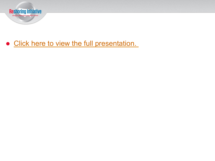

#### • [Click here to view the full presentation.](http://www.reshorenow.org/to-reshore-or-offshore-how-to-objectively-decide.pdf)